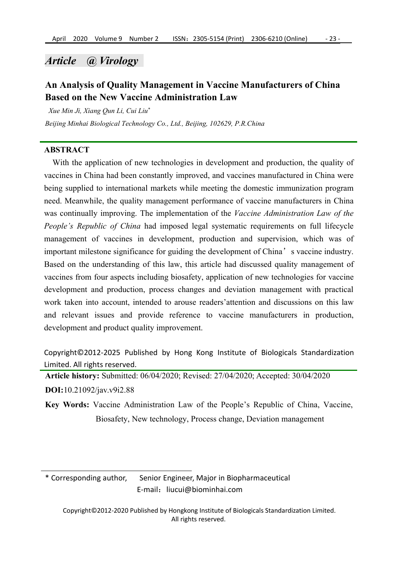# *Article @ Virology*

# **An Analysis ofQuality Management in Vaccine Manufacturers ofChina Based on the New Vaccine Administration Law**

*Xue Min Ji, Xiang Qun Li, Cui Liu \**

*Beijing Minhai Biological Technology Co., Ltd., Beijing, 102629, P.R.China*

## **ABSTRACT**

With the application of new technologies in development and production, the quality of vaccines in China had been constantly improved, and vaccines manufactured in China were being supplied to international markets while meeting the domestic immunization program need. Meanwhile, the quality management performance of vaccine manufacturers in China was continually improving.The implementation of the *Vaccine Administration Law of the People's Republic of China* had imposed legal systematic requirements on full lifecycle management of vaccines in development, production and supervision, which was of important milestone significance for guiding the development of China's vaccine industry. Based on the understanding of this law, this article had discussed quality management of vaccines from four aspects including biosafety, application of new technologies for vaccine development and production, process changes and deviation management with practical work taken into account, intended to arouse readers'attention and discussions on this law and relevant issues and provide reference to vaccine manufacturers in production, development and product quality improvement.

Copyright©2012-2025 Published by Hong Kong Institute of Biologicals Standardization Limited. All rights reserved.

**Article history:** Submitted: 06/04/2020; Revised: 27/04/2020; Accepted: 30/04/2020 **DOI:**10.21092/jav.v9i2.88

**Key Words:** Vaccine Administration Law of the People's Republic of China, Vaccine, Biosafety, New technology, Process change, Deviation management

\* Corresponding author, Senior Engineer, Major in Biopharmaceutical E-mail:liucui@biominhai.com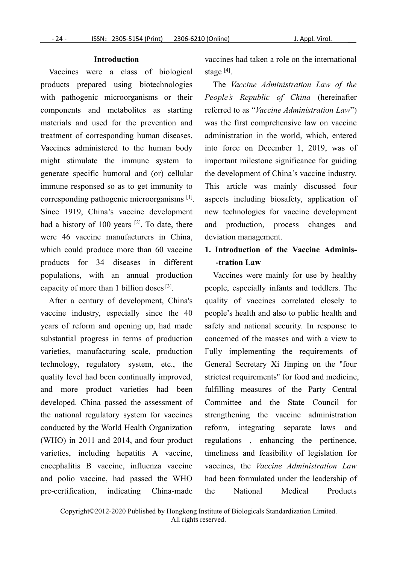#### **Introduction**

Vaccines were a class of biological products prepared using biotechnologies with pathogenic microorganisms or their components and metabolites as starting materials and used for the prevention and treatment of corresponding human diseases. Vaccines administered to the human body might stimulate the immune system to generate specific humoral and (or) cellular immune responsed so as to get immunity to corresponding pathogenic microorganisms [1]. Since 1919, China's vaccine development had a history of 100 years <sup>[2]</sup>. To date, there and production were 46 vaccine manufacturers in China, which could produce more than 60 vaccine products for 34 diseases in different populations, with an annual production capacity of more than 1 billion doses  $[3]$ .

After a century of development, China's vaccine industry, especially since the 40 years of reform and opening up, had made substantial progress in terms of production varieties, manufacturing scale, production technology, regulatory system, etc., the quality level had been continually improved, and more product varieties had been developed. China passed the assessment of the national regulatory system for vaccines conducted by the World Health Organization (WHO) in 2011 and 2014, and four product varieties, including hepatitis A vaccine, encephalitis B vaccine, influenza vaccine and polio vaccine, had passed the WHO pre-certification, indicating China-made

vaccines had taken a role on the international stage  $^{[4]}$ .

[1]. aspects including biosafety, application of The *Vaccine Administration Law of the People's Republic of China* (hereinafter referred to as "*Vaccine Administration Law*") was the first comprehensive law on vaccine administration in the world, which, entered into force on December 1, 2019, was of important milestone significance for guiding the development of China's vaccine industry. This article was mainly discussed four new technologies for vaccine development and production, process changes and deviation management.

# **1. Introduction of the Vaccine Adminis- -tration Law**

<sup>[3]</sup>. people, especially infants and toddlers. The Vaccines were mainly for use by healthy quality of vaccines correlated closely to people's health and also to public health and safety and national security. In response to concerned of the masses and with a view to Fully implementing the requirements of General Secretary Xi Jinping on the "four strictest requirements" for food and medicine, fulfilling measures of the Party Central Committee and the State Council for strengthening the vaccine administration reform, integrating separate laws and regulations , enhancing the pertinence, timeliness and feasibility of legislation for vaccines, the *Vaccine Administration Law* had been formulated under the leadership of National Medical Products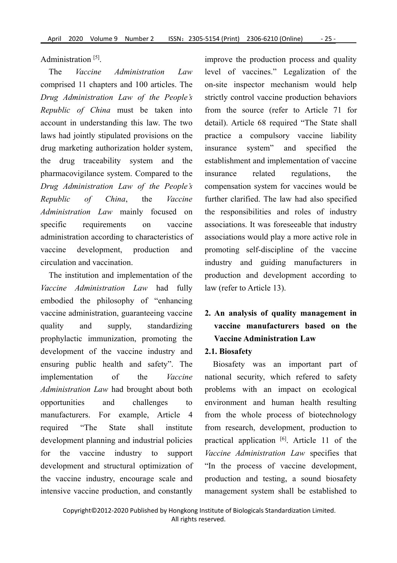Administration  $^{[5]}$ .

comprised 11 chapters and 100 articles. The *Drug Administration Law of the People's Republic of China* must be taken into account in understanding this law. The two laws had jointly stipulated provisions on the drug marketing authorization holder system, the drug traceability system and the pharmacovigilance system. Compared to the *Drug Administration Law of the People's Republic of China*, the *Vaccine* further clarified. The law had also specified *Administration Law* mainly focused on specific requirements on vaccine associations. It was foreseeable that industry administration according to characteristics of vaccine development, production and promoting self-discipline of the vaccine circulation and vaccination.

The institution and implementation of the *Vaccine Administration Law* had fully embodied the philosophy of "enhancing vaccine administration, guaranteeing vaccine quality and supply,standardizing **vaccine manufacturers based on the** prophylactic immunization, promoting the development of the vaccine industry and ensuring public health and safety". The implementation of the *Vaccine* national security, which refered to safety *Administration Law* had brought about both opportunities and challenges to environment and human health resulting manufacturers. For example, Article 4 required "The State shall institute from research, development, production to development planning and industrial policies for the vaccine industry to support Vaccine Administration Law specifies that development and structural optimization of the vaccine industry, encourage scale and intensive vaccine production, and constantly

The *Vaccine Administration Law* level of vaccines." Legalization of the improve the production process and quality on-site inspector mechanism would help strictly control vaccine production behaviors from the source (refer to Article 71 for detail). Article 68 required "The State shall practice a compulsory vaccine liability insurance system" and specified the establishment and implementation of vaccine regulations, the compensation system for vaccines would be the responsibilities and roles of industry associations would play a more active role in industry and guiding manufacturers in production and development according to law (refer to Article 13).

# **2. An analysis of quality management in Vaccine Administration Law**

## **2.1. Biosafety**

Biosafety was an important part of problems with an impact on ecological from the whole process of biotechnology practical application [6]. Article 11 of the "In the process of vaccine development, production and testing, a sound biosafety management system shall be established to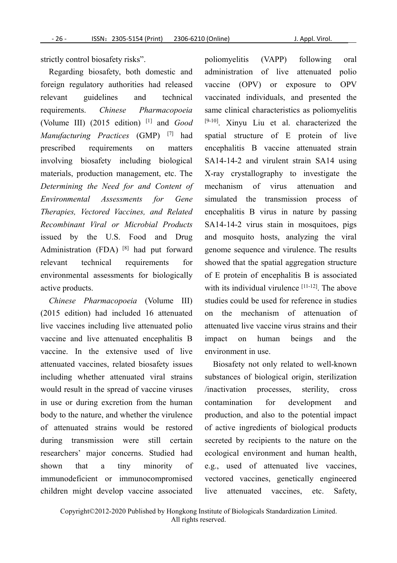strictly control biosafety risks".

Regarding biosafety, both domestic and foreign regulatory authorities had released relevant guidelines and technical (Volume III) (2015 edition) <sup>[1]</sup> and *Good Manufacturing Practices* (GMP) involving biosafety including biological materials, production management, etc. The *Determining the Need for and Content of Therapies, Vectored Vaccines, and Related Recombinant Viral or Microbial Products* issued by the U.S. Food and Drug Administration (FDA) <sup>[8]</sup> had put forward genome sequence a relevant technical requirements for environmental assessments for biologically active products.

*Chinese Pharmacopoeia* (Volume III) (2015 edition) had included 16 attenuated live vaccines including live attenuated polio vaccine and live attenuated encephalitis B impact on human vaccine. In the extensive used of live attenuated vaccines, related biosafety issues including whether attenuated viral strains would result in the spread of vaccine viruses in use or during excretion from the human contamination for body to the nature, and whether the virulence of attenuated strains would be restored during transmission were still certain researchers' major concerns. Studied had shown that a tiny minority of e.g., used of attenuated live vaccines, immunodeficient or immunocompromised children might develop vaccine associated

requirements. *Chinese Pharmacopoeia* same clinical characteristics as poliomyelitis [1] and *Good* [9-10]. Xinyu Liu et al. characterized the [7] had spatial structure of E protein of live prescribed requirements on matters encephalitis B vaccine attenuated strain *Environmental Assessments for Gene* simulated the transmission process of poliomyelitis (VAPP) following oral administration of live attenuated polio vaccine (OPV) or exposure to OPV vaccinated individuals, and presented the SA14-14-2 and virulent strain SA14 using X-ray crystallography to investigate the mechanism of virus attenuation and encephalitis B virus in nature by passing SA14-14-2 virus stain in mosquitoes, pigs and mosquito hosts, analyzing the viral genome sequence and virulence. The results showed that the spatial aggregation structure of E protein of encephalitis B is associated with its individual virulence <sup>[11-12]</sup>. The above studies could be used for reference in studies on the mechanism of attenuation of attenuated live vaccine virus strains and their beings and the environment in use.

> Biosafety not only related to well-known substances of biological origin, sterilization /inactivation processes, sterility, cross development and production, and also to the potential impact of active ingredients of biological products secreted by recipients to the nature on the ecological environment and human health, vectored vaccines, genetically engineered attenuated vaccines, etc. Safety,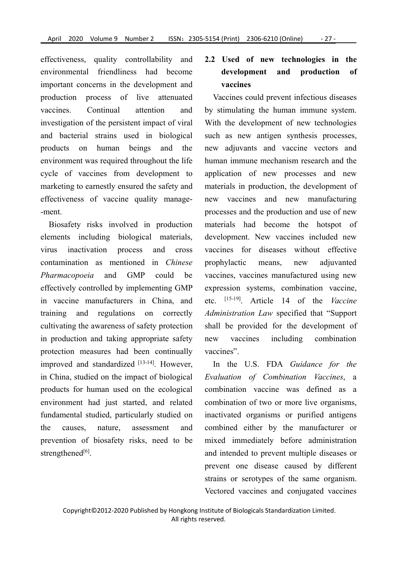effectiveness, quality controllability and environmental friendliness had become important concerns in the development and production process of live attenuated investigation of the persistent impact of viral and bacterial strains used in biological products on human beings and the environment was required throughout the life cycle of vaccines from development to marketing to earnestly ensured the safety and effectiveness of vaccine quality manage- -ment.

Biosafety risks involved in production elements including biological materials, contamination as mentioned in *Chinese Pharmacopoeia* and GMP could be effectively controlled by implementing GMP in vaccine manufacturers in China, and training and regulations on correctly cultivating the awareness of safety protection in production and taking appropriate safety new vaccines including protection measures had been continually improved and standardized [13-14]. However, In the in China, studied on the impact of biological products for human used on the ecological environment had just started, and related fundamental studied, particularly studied on the causes, nature, assessment and combined either by the manufacturer or prevention of biosafety risks, need to be strengthened<sup>[6]</sup>.

# **2.2 Used of new technologies in the development and production of vaccines**

vaccines. Continual attention and by stimulating the human immune system. virus inactivation process and cross vaccines for diseases without effective Vaccines could prevent infectious diseases With the development of new technologies such as new antigen synthesis processes, new adjuvants and vaccine vectors and human immune mechanism research and the application of new processes and new materials in production, the development of new vaccines and new manufacturing processes and the production and use of new materials had become the hotspot of development. New vaccines included new prophylactic means, new adjuvanted vaccines, vaccines manufactured using new expression systems, combination vaccine, etc. [15-19]. Article 14 of the *Vaccine Administration Law* specified that "Support shall be provided for the development of combination vaccines".

> In the U.S.FDA *Guidance for the Evaluation of Combination Vaccines*, a combination vaccine was defined as a combination of two or more live organisms, inactivated organisms or purified antigens mixed immediately before administration and intended to prevent multiple diseases or prevent one disease caused by different strains or serotypes of the same organism. Vectored vaccines and conjugated vaccines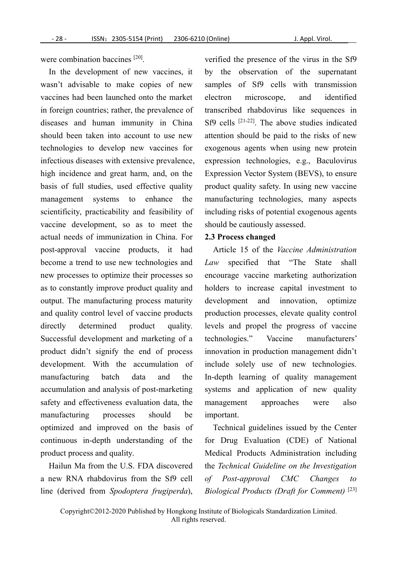were combination baccines <sup>[20]</sup>.

In the development of new vaccines, it wasn't advisable to make copies of new vaccines had been launched onto the market in foreign countries; rather, the prevalence of diseases and human immunity in China should been taken into account to use new technologies to develop new vaccines for infectious diseases with extensive prevalence, high incidence and great harm, and, on the basis of full studies, used effective quality management systems to enhance the scientificity, practicability and feasibility of vaccine development, so as to meet the actual needs of immunization in China. For post-approval vaccine products, it had become a trend to use new technologies and new processes to optimize their processes so as to constantly improve product quality and output. The manufacturing process maturity and quality control level of vaccine products directly determined product quality. Successful development and marketing of a technologies." product didn't signify the end of process development. With the accumulation of manufacturing batch data and the In-depth learning of quality management accumulation and analysis of post-marketing safety and effectiveness evaluation data, the management approaches manufacturing processes should be optimized and improved on the basis of continuous in-depth understanding of the product process and quality.

Hailun Ma from the U.S. FDA discovered a new RNA rhabdovirus from the Sf9 cell of line (derived from *Spodoptera frugiperda*),

verified the presence of the virus in the Sf9 by the observation of the supernatant samples of Sf9 cells with transmission microscope, and identified transcribed rhabdovirus like sequences in Sf9 cells [21-22]. The above studies indicated attention should be paid to the risks of new exogenous agents when using new protein expression technologies, e.g., Baculovirus Expression Vector System (BEVS), to ensure product quality safety. In using new vaccine manufacturing technologies, many aspects including risks of potential exogenous agents should be cautiously assessed.

## **2.3 Process changed**

Article 15 of the *Vaccine Administration Law* specified that "The State shall encourage vaccine marketing authorization holders to increase capital investment to and innovation, optimize production processes, elevate quality control levels and propel the progress of vaccine Vaccine manufacturers' innovation in production management didn't include solely use of new technologies. systems and application of new quality management approaches were also important.

Technical guidelines issued by the Center for Drug Evaluation (CDE) of National Medical Products Administration including the *Technical Guideline on the Investigation ofPost-approval CMC Changes to Biological Products (Draft for Comment)* [23]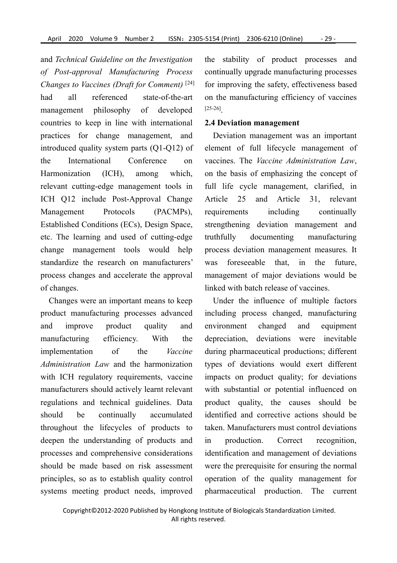and *TechnicalGuideline on the Investigation of Post-approval Manufacturing Process Changes to Vaccines (Draft for Comment)* had all referenced state-of-the-art management philosophy of developed countries to keep in line with international practices for change management, and introduced quality system parts (Q1-Q12) of the International Conference on vaccines. The *Vaccine Administration Law*, Harmonization (ICH), among which, relevant cutting-edge management tools in ICH Q12 include Post-Approval Change Article 25 Management Protocols (PACMPs), Established Conditions (ECs), Design Space, etc. The learning and used of cutting-edge change management tools would help standardize the research on manufacturers' process changes and accelerate the approval of changes.

Changes were an important means to keep product manufacturing processes advanced and improve product quality and environment changed and equipment manufacturing efficiency. With the depreciation, deviations were inevitable implementation of the *Vaccine* during pharmaceutical productions; different *Administration Law* and the harmonization with ICH regulatory requirements, vaccine manufacturers should actively learnt relevant regulations and technical guidelines. Data should be continually accumulated identified and corrective actions should be throughout the lifecycles of products to deepen the understanding of products and in production. processes and comprehensive considerations should be made based on risk assessment principles, so as to establish quality control systems meeting product needs, improved

<sup>[24]</sup> for improving the safety, effectiveness based the stability of product processes and continually upgrade manufacturing processes on the manufacturing efficiency of vaccines [25-26].

#### **2.4 Deviation management**

Deviation management was an important element of full lifecycle management of on the basis of emphasizing the concept of full life cycle management, clarified, in and Article 31, relevant requirements including continually strengthening deviation management and manufacturing process deviation management measures. It foreseeable that, in the future, management of major deviations would be linked with batch release of vaccines.

Under the influence of multiple factors including process changed, manufacturing types of deviations would exert different impacts on product quality; for deviations with substantial or potential influenced on product quality, the causes should be taken. Manufacturers must control deviations Correct recognition, identification and management of deviations were the prerequisite for ensuring the normal operation of the quality management for pharmaceutical production. The current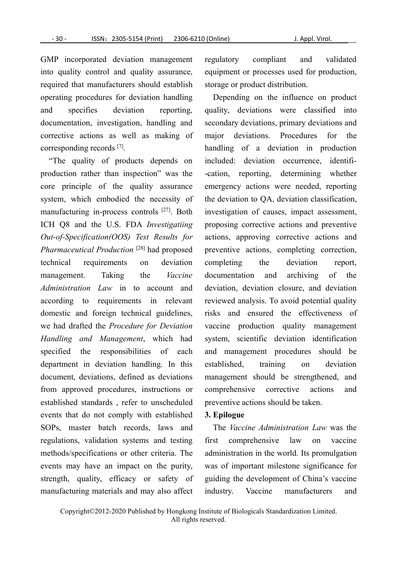GMP incorporated deviation management into quality control and quality assurance,<br>required that manufacturers should establish operating procedures for deviation handling and specifies deviation reporting, documentation, investigation, handling and corrective actions as well as making of corresponding records [7].

"The quality of products depends on production rather than inspection" was the core principle of the quality assurance system, which embodied the necessity of manufacturing in-process controls [27]. Both ICH Q8 and the U.S. FDA *Investigatiing Out-of-Specification(OOS) Test Results for Pharmaceutical Production* technical requirements on deviation management. Taking the *Vaccine Administration Law* in to account and according to requirements in relevant domestic and foreign technical guidelines, we had drafted the *Procedure for Deviation Handling and Management*, which had specified the responsibilities of each department in deviation handling. In this document, deviations, defined as deviations from approved procedures, instructions or established standards , refer to unscheduled events that do not comply with established SOPs, master batch records, laws and regulations, validation systems and testing methods/specifications or other criteria. The events may have an impact on the purity, strength, quality, efficacy or safety of manufacturing materials and may also affect industry. Vaccine

regulatory compliant and validated equipment or processes used for production, storage or product distribution.

[27]. Both investigation of causes, impact assessment, [28] had proposed preventive actions, completing correction, Depending on the influence on product quality, deviations were classified into secondary deviations, primary deviations and major deviations. Procedures for the handling of a deviation in production included: deviation occurrence, identifi- -cation, reporting, determining whether emergency actions were needed, reporting the deviation to QA, deviation classification, proposing corrective actions and preventive actions, approving corrective actions and completing the deviation report,<br>documentation and archiving of the deviation, deviation closure, and deviation reviewed analysis. To avoid potential quality risks and ensured the effectiveness of vaccine production quality management system, scientific deviation identification and management procedures should be established, training on deviation management should be strengthened, and comprehensive corrective actions and preventive actions should be taken.

#### **3. Epilogue**

The *Vaccine Administration Law* was the comprehensive law on vaccine administration in the world. Its promulgation was of important milestone significance for guiding the development of China's vaccine manufacturers and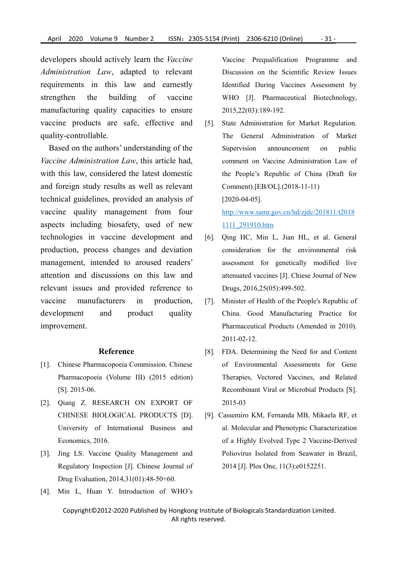developers should actively learn the *Vaccine Administration Law*, adapted to relevant requirements in this law and earnestly strengthen the building of vaccine WHO [J]. Pharmaceutical Biotechnology, manufacturing quality capacities to ensure vaccine products are safe, effective and [5]. quality-controllable.

Based on the authors' understanding of the *Vaccine Administration Law*, this article had, with this law, considered the latest domestic and foreign study results as well as relevant technical guidelines, provided an analysis of vaccine quality management from four aspects including biosafety, used of new technologies in vaccine development and production, process changes and deviation management, intended to aroused readers' attention and discussions on this law and relevant issues and provided reference to vaccine manufacturers in production, development and product quality China. Good Manufacturing Practice for improvement.

### **Reference**

- [1]. Chinese Pharmacopoeia Commission. Chinese Pharmacopoeia (Volume III) (2015 edition) [S]. 2015-06.
- [2]. Qiang Z. RESEARCH ON EXPORT OF CHINESE BIOLOGICAL PRODUCTS [D]. University of International Business and Economics, 2016.
- [3]. Jing LS. Vaccine Quality Management and Regulatory Inspection [J]. Chinese Journal of Drug Evaluation, 2014,31(01):48-50+60.
- [4]. Min L, Huan Y. Introduction of WHO's

Vaccine Prequalification Programme and Discussion on the Scientific Review Issues Identified During Vaccines Assessment by 2015,22(03):189-192.

State Administration for Market Regulation. The General Administration of Market announcement on public comment on Vaccine Administration Law of the People's Republic of China (Draft for Comment).[EB/OL].(2018-11-11) [2020-04-05]. [http://www.samr.gov.cn/hd/zjdc/201811/t2018](http://www.samr.gov.cn/hd/zjdc/201811/t20181111_291910.htm)

1111\_291910.htm

- [6]. Qing HC, Min L, Jian HL, et al. General consideration for the environmental risk assessment for genetically modified live attenuated vaccines [J]. Chiese Journal of New Drugs, 2016,25(05):499-502.
- [7]. Minister of Health of the People's Republic of Pharmaceutical Products (Amended in 2010). 2011-02-12.
- [8]. FDA. Determining the Need for and Content of Environmental Assessments for Gene Therapies, Vectored Vaccines, and Related Recombinant Viral or Microbial Products [S]. 2015-03
- [9]. Cassemiro KM, Fernanda MB, Mikaela RF, et al. Molecular and Phenotypic Characterization of a Highly Evolved Type 2 Vaccine-Derived Poliovirus Isolated from Seawater in Brazil, 2014 [J]. Plos One, 11(3):e0152251.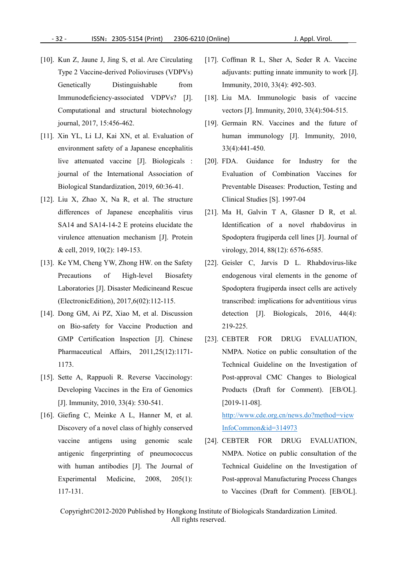- [10]. Kun Z, Jaune J, Jing S, et al. Are Circulating Type 2 Vaccine-derived Polioviruses (VDPVs) Genetically Distinguishable from Immunity, 2010, 33(4): 492-503. Immunodeficiency-associated VDPVs? [J]. Computational and structural biotechnology journal, 2017, 15:456-462.
- [11]. Xin YL, Li LJ, Kai XN, et al. Evaluation of environment safety of a Japanese encephalitis live attenuated vaccine [J]. Biologicals : journal of the International Association of Biological Standardization, 2019, 60:36-41.
- [12]. Liu X, Zhao X, Na R, et al. The structure differences of Japanese encephalitis virus SA14 and SA14-14-2 E proteins elucidate the virulence attenuation mechanism [J]. Protein & cell, 2019, 10(2): 149-153.
- [13]. Ke YM, Cheng YW, Zhong HW. on the Safety Laboratories [J]. Disaster Medicineand Rescue (ElectronicEdition), 2017,6(02):112-115.
- [14]. Dong GM, Ai PZ, Xiao M, et al. Discussion on Bio-safety for Vaccine Production and GMP Certification Inspection [J]. Chinese Pharmaceutical Affairs, 2011,25(12):1171- 1173.
- [15]. Sette A, Rappuoli R. Reverse Vaccinology: Developing Vaccines in the Era of Genomics [J]. Immunity, 2010, 33(4): 530-541.
- [16]. Giefing C, Meinke A L, Hanner M, et al. Discovery of a novel class of highly conserved vaccine antigens using genomic scale [24]. CEBTER FOR antigenic fingerprinting of pneumococcus with human antibodies [J]. The Journal of Experimental Medicine, 2008, 205(1): 117-131.
- [17]. Coffman R L, Sher A, Seder R A. Vaccine adiuvants: putting innate immunity to work [J].
- [18]. Liu MA. Immunologic basis of vaccine vectors [J]. Immunity, 2010, 33(4):504-515.
- [19]. Germain RN. Vaccines and the future of human immunology [J]. Immunity, 2010, 33(4):441-450.
- [20]. FDA. Guidance for Industry for the Evaluation of Combination Vaccines for Preventable Diseases: Production, Testing and Clinical Studies [S]. 1997-04
- [21]. Ma H, Galvin T A, Glasner D R, et al. Identification of a novel rhabdovirus in Spodoptera frugiperda cell lines [J]. Journal of virology, 2014, 88(12): 6576-6585.
- Precautions of High-level Biosafety endogenous viral elements in the genome of [22]. Geisler C, Jarvis D L. Rhabdovirus-like Spodoptera frugiperda insect cells are actively transcribed: implications for adventitious virus detection [J]. Biologicals, 2016, 44(4): 219-225.
	- [23]. CEBTER FOR DRUG EVALUATION, NMPA. Notice on public consultation of the Technical Guideline on the Investigation of Post-approval CMC Changes to Biological Products (Draft for Comment). [EB/OL]. [2019-11-08].

[http://www.cde.org.cn/news.do?method=view](http://www.cde.org.cn/news.do?method=viewInfoCommon&id=314973) InfoCommon&id=314973

DRUG EVALUATION, NMPA. Notice on public consultation of the Technical Guideline on the Investigation of Post-approval Manufacturing Process Changes to Vaccines (Draft for Comment). [EB/OL].